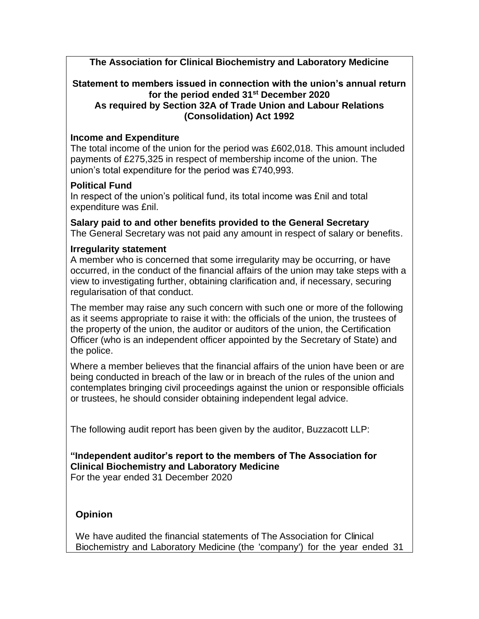**The Association for Clinical Biochemistry and Laboratory Medicine**

#### **Statement to members issued in connection with the union's annual return for the period ended 31st December 2020 As required by Section 32A of Trade Union and Labour Relations (Consolidation) Act 1992**

# **Income and Expenditure**

The total income of the union for the period was £602,018. This amount included payments of £275,325 in respect of membership income of the union. The union's total expenditure for the period was £740,993.

# **Political Fund**

In respect of the union's political fund, its total income was £nil and total expenditure was £nil.

**Salary paid to and other benefits provided to the General Secretary** The General Secretary was not paid any amount in respect of salary or benefits.

# **Irregularity statement**

A member who is concerned that some irregularity may be occurring, or have occurred, in the conduct of the financial affairs of the union may take steps with a view to investigating further, obtaining clarification and, if necessary, securing regularisation of that conduct.

The member may raise any such concern with such one or more of the following as it seems appropriate to raise it with: the officials of the union, the trustees of the property of the union, the auditor or auditors of the union, the Certification Officer (who is an independent officer appointed by the Secretary of State) and the police.

Where a member believes that the financial affairs of the union have been or are being conducted in breach of the law or in breach of the rules of the union and contemplates bringing civil proceedings against the union or responsible officials or trustees, he should consider obtaining independent legal advice.

The following audit report has been given by the auditor, Buzzacott LLP:

# **"Independent auditor's report to the members of The Association for Clinical Biochemistry and Laboratory Medicine**

For the year ended 31 December 2020

# **Opinion**

We have audited the financial statements of The Association for Clinical Biochemistry and Laboratory Medicine (the 'company') for the year ended 31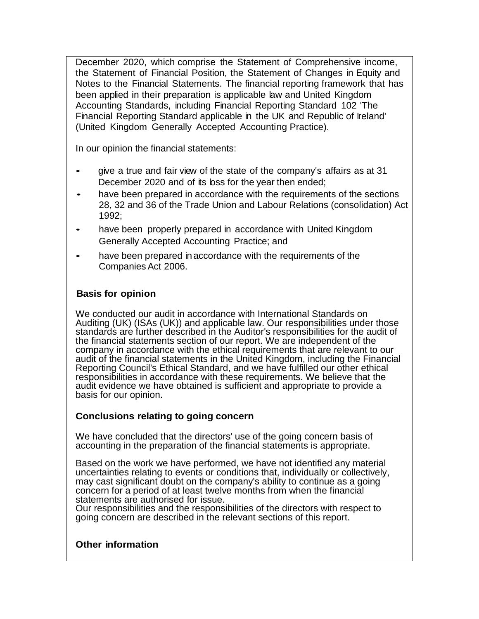December 2020, which comprise the Statement of Comprehensive income, the Statement of Financial Position, the Statement of Changes in Equity and Notes to the Financial Statements. The financial reporting framework that has been applied in their preparation is applicable law and United Kingdom Accounting Standards, including Financial Reporting Standard 102 'The Financial Reporting Standard applicable in the UK and Republic of Ireland' (United Kingdom Generally Accepted Accounting Practice).

In our opinion the financial statements:

- give a true and fair view of the state of the company's affairs as at 31 December 2020 and of its loss for the year then ended;
- have been prepared in accordance with the requirements of the sections 28, 32 and 36 of the Trade Union and Labour Relations (consolidation) Act 1992;
- have been properly prepared in accordance with United Kingdom Generally Accepted Accounting Practice; and
- have been prepared in accordance with the requirements of the Companies Act 2006.

### **Basis for opinion**

We conducted our audit in accordance with International Standards on Auditing (UK) (ISAs (UK)) and applicable law. Our responsibilities under those standards are further described in the Auditor's responsibilities for the audit of the financial statements section of our report. We are independent of the company in accordance with the ethical requirements that are relevant to our audit of the financial statements in the United Kingdom, including the Financial Reporting Council's Ethical Standard, and we have fulfilled our other ethical responsibilities in accordance with these requirements. We believe that the audit evidence we have obtained is sufficient and appropriate to provide a basis for our opinion.

#### **Conclusions relating to going concern**

We have concluded that the directors' use of the going concern basis of accounting in the preparation of the financial statements is appropriate.

Based on the work we have performed, we have not identified any material uncertainties relating to events or conditions that, individually or collectively, may cast significant doubt on the company's ability to continue as a going concern for a period of at least twelve months from when the financial statements are authorised for issue.

Our responsibilities and the responsibilities of the directors with respect to going concern are described in the relevant sections of this report.

#### **Other information**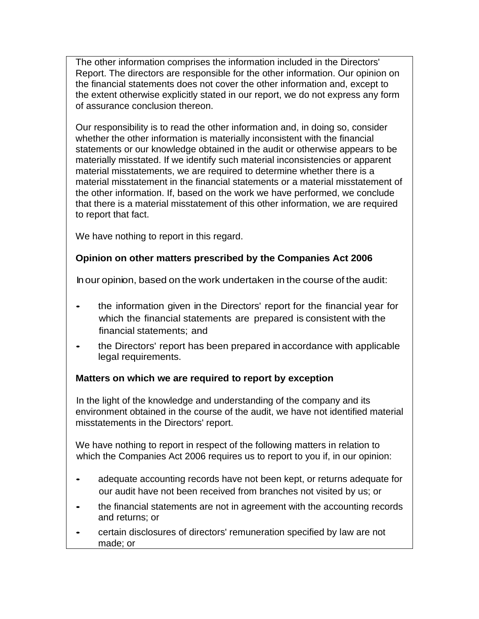The other information comprises the information included in the Directors' Report. The directors are responsible for the other information. Our opinion on the financial statements does not cover the other information and, except to the extent otherwise explicitly stated in our report, we do not express any form of assurance conclusion thereon.

Our responsibility is to read the other information and, in doing so, consider whether the other information is materially inconsistent with the financial statements or our knowledge obtained in the audit or otherwise appears to be materially misstated. If we identify such material inconsistencies or apparent material misstatements, we are required to determine whether there is a material misstatement in the financial statements or a material misstatement of the other information. If, based on the work we have performed, we conclude that there is a material misstatement of this other information, we are required to report that fact.

We have nothing to report in this regard.

# **Opinion on other matters prescribed by the Companies Act 2006**

Inour opinion, based on the work undertaken in the course of the audit:

- the information given in the Directors' report for the financial year for which the financial statements are prepared is consistent with the financial statements; and
- the Directors' report has been prepared in accordance with applicable legal requirements.

## **Matters on which we are required to report by exception**

In the light of the knowledge and understanding of the company and its environment obtained in the course of the audit, we have not identified material misstatements in the Directors' report.

We have nothing to report in respect of the following matters in relation to which the Companies Act 2006 requires us to report to you if, in our opinion:

- adequate accounting records have not been kept, or returns adequate for our audit have not been received from branches not visited by us; or
- the financial statements are not in agreement with the accounting records and returns; or
- certain disclosures of directors' remuneration specified by law are not made; or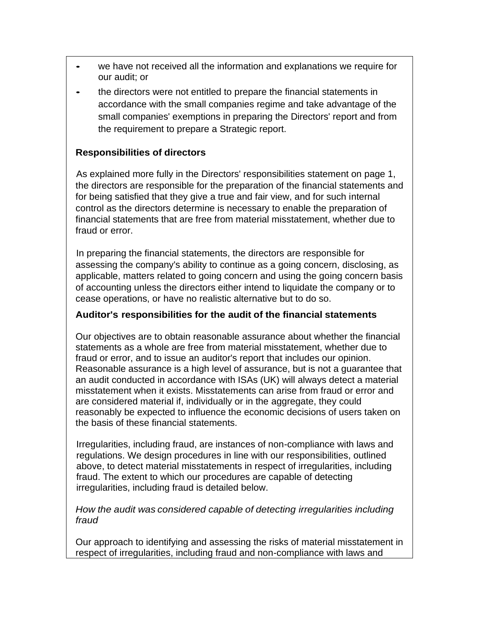- we have not received all the information and explanations we require for our audit; or
- the directors were not entitled to prepare the financial statements in accordance with the small companies regime and take advantage of the small companies' exemptions in preparing the Directors' report and from the requirement to prepare a Strategic report.

## **Responsibilities of directors**

As explained more fully in the Directors' responsibilities statement on page 1, the directors are responsible for the preparation of the financial statements and for being satisfied that they give a true and fair view, and for such internal control as the directors determine is necessary to enable the preparation of financial statements that are free from material misstatement, whether due to fraud or error.

In preparing the financial statements, the directors are responsible for assessing the company's ability to continue as a going concern, disclosing, as applicable, matters related to going concern and using the going concern basis of accounting unless the directors either intend to liquidate the company or to cease operations, or have no realistic alternative but to do so.

## **Auditor's responsibilities for the audit of the financial statements**

Our objectives are to obtain reasonable assurance about whether the financial statements as a whole are free from material misstatement, whether due to fraud or error, and to issue an auditor's report that includes our opinion. Reasonable assurance is a high level of assurance, but is not a guarantee that an audit conducted in accordance with ISAs (UK) will always detect a material misstatement when it exists. Misstatements can arise from fraud or error and are considered material if, individually or in the aggregate, they could reasonably be expected to influence the economic decisions of users taken on the basis of these financial statements.

Irregularities, including fraud, are instances of non-compliance with laws and regulations. We design procedures in line with our responsibilities, outlined above, to detect material misstatements in respect of irregularities, including fraud. The extent to which our procedures are capable of detecting irregularities, including fraud is detailed below.

*How the audit was considered capable of detecting irregularities including fraud*

Our approach to identifying and assessing the risks of material misstatement in respect of irregularities, including fraud and non-compliance with laws and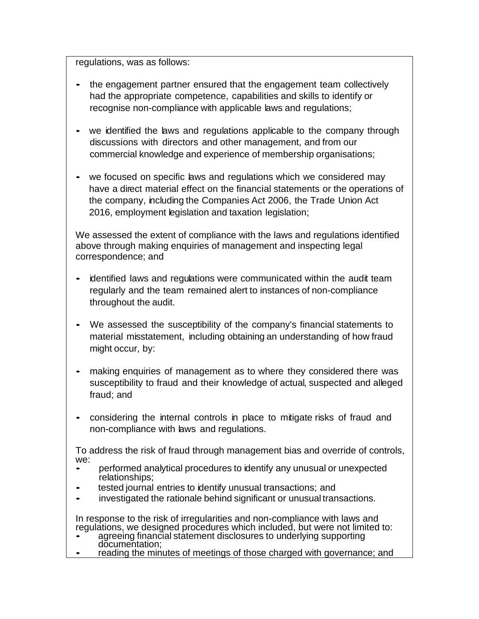regulations, was as follows:

- the engagement partner ensured that the engagement team collectively had the appropriate competence, capabilities and skills to identify or recognise non-compliance with applicable laws and regulations;
- we identified the laws and regulations applicable to the company through discussions with directors and other management, and from our commercial knowledge and experience of membership organisations;
- we focused on specific laws and regulations which we considered may have a direct material effect on the financial statements or the operations of the company, including the Companies Act 2006, the Trade Union Act 2016, employment legislation and taxation legislation;

We assessed the extent of compliance with the laws and regulations identified above through making enquiries of management and inspecting legal correspondence; and

- identified laws and regulations were communicated within the audit team regularly and the team remained alert to instances of non-compliance throughout the audit.
- We assessed the susceptibility of the company's financial statements to material misstatement, including obtaining an understanding of how fraud might occur, by:
- making enquiries of management as to where they considered there was susceptibility to fraud and their knowledge of actual, suspected and alleged fraud; and
- considering the internal controls in place to mitigate risks of fraud and non-compliance with laws and regulations.

To address the risk of fraud through management bias and override of controls, we:

- performed analytical procedures to identify any unusual or unexpected relationships;
- tested journal entries to identify unusual transactions; and
- investigated the rationale behind significant or unusual transactions.

In response to the risk of irregularities and non-compliance with laws and regulations, we designed procedures which included, but were not limited to:

- agreeing financial statement disclosures to underlying supporting documentation:
- reading the minutes of meetings of those charged with governance; and